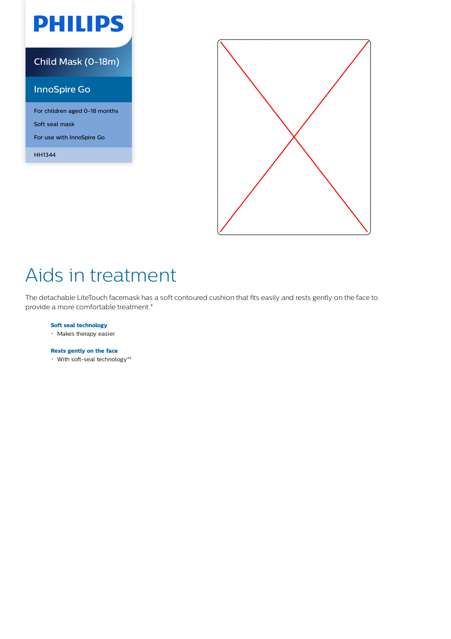# **PHILIPS**

## Child Mask (0-18m)

## InnoSpire Go

For children aged 0-18 months Soft seal mask For use with InnoSpire Go

HH1344



# Aids in treatment

The detachable LiteTouch facemask has a soft contoured cushion that fits easily and rests gently on the face to provide a more comfortable treatment.\*

### **Soft seal technology**

Makes therapy easier

### **Rests gently on the face**

With soft-seal technology\*\*